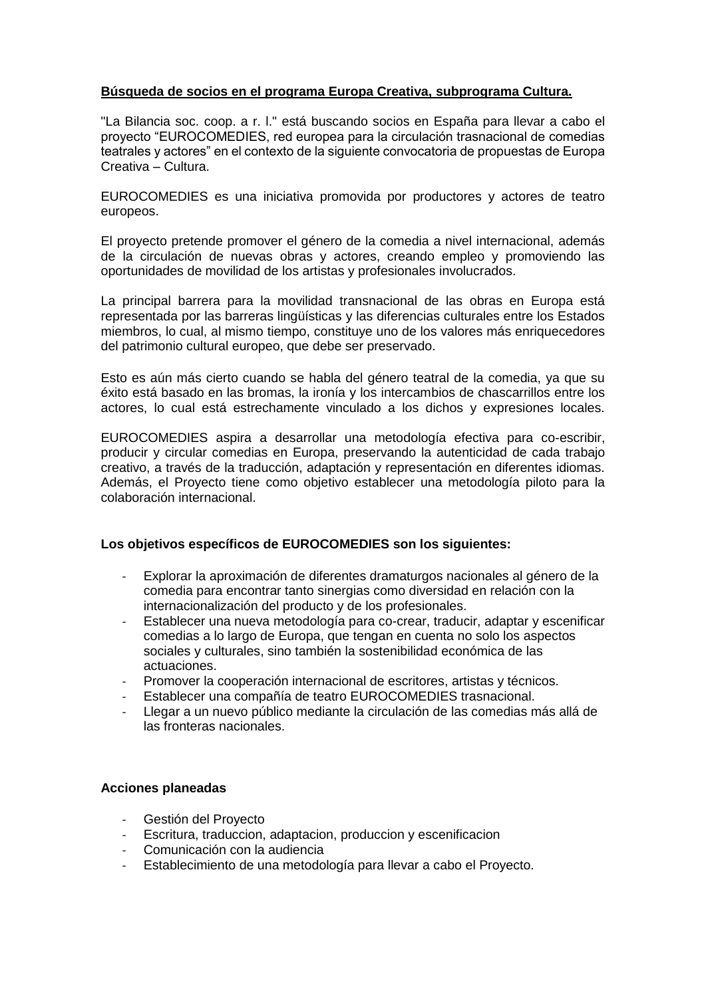# **Búsqueda de socios en el programa Europa Creativa, subprograma Cultura.**

"La Bilancia soc. coop. a r. l." está buscando socios en España para llevar a cabo el proyecto "EUROCOMEDIES, red europea para la circulación trasnacional de comedias teatrales y actores" en el contexto de la siguiente convocatoria de propuestas de Europa Creativa – Cultura.

EUROCOMEDIES es una iniciativa promovida por productores y actores de teatro europeos.

El proyecto pretende promover el género de la comedia a nivel internacional, además de la circulación de nuevas obras y actores, creando empleo y promoviendo las oportunidades de movilidad de los artistas y profesionales involucrados.

La principal barrera para la movilidad transnacional de las obras en Europa está representada por las barreras lingüísticas y las diferencias culturales entre los Estados miembros, lo cual, al mismo tiempo, constituye uno de los valores más enriquecedores del patrimonio cultural europeo, que debe ser preservado.

Esto es aún más cierto cuando se habla del género teatral de la comedia, ya que su éxito está basado en las bromas, la ironía y los intercambios de chascarrillos entre los actores, lo cual está estrechamente vinculado a los dichos y expresiones locales.

EUROCOMEDIES aspira a desarrollar una metodología efectiva para co-escribir, producir y circular comedias en Europa, preservando la autenticidad de cada trabajo creativo, a través de la traducción, adaptación y representación en diferentes idiomas. Además, el Proyecto tiene como objetivo establecer una metodología piloto para la colaboración internacional.

## **Los objetivos específicos de EUROCOMEDIES son los siguientes:**

- Explorar la aproximación de diferentes dramaturgos nacionales al género de la comedia para encontrar tanto sinergias como diversidad en relación con la internacionalización del producto y de los profesionales.
- Establecer una nueva metodología para co-crear, traducir, adaptar y escenificar comedias a lo largo de Europa, que tengan en cuenta no solo los aspectos sociales y culturales, sino también la sostenibilidad económica de las actuaciones.
- Promover la cooperación internacional de escritores, artistas y técnicos.
- Establecer una compañía de teatro EUROCOMEDIES trasnacional.
- Llegar a un nuevo público mediante la circulación de las comedias más allá de las fronteras nacionales.

## **Acciones planeadas**

- Gestión del Proyecto
- Escritura, traduccion, adaptacion, produccion y escenificacion
- Comunicación con la audiencia
- Establecimiento de una metodología para llevar a cabo el Proyecto.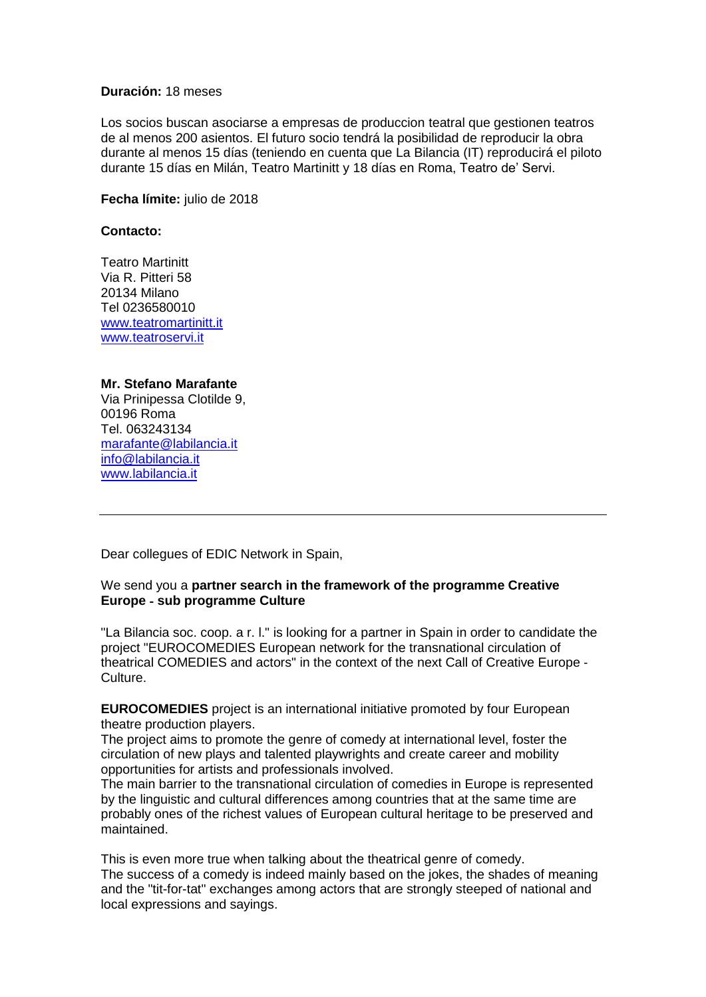#### **Duración:** 18 meses

Los socios buscan asociarse a empresas de produccion teatral que gestionen teatros de al menos 200 asientos. El futuro socio tendrá la posibilidad de reproducir la obra durante al menos 15 días (teniendo en cuenta que La Bilancia (IT) reproducirá el piloto durante 15 días en Milán, Teatro Martinitt y 18 días en Roma, Teatro de' Servi.

**Fecha límite:** julio de 2018

### **Contacto:**

Teatro Martinitt Via R. Pitteri 58 20134 Milano Tel 0236580010 <www.teatromartinitt.it> <www.teatroservi.it>

### **Mr. Stefano Marafante**

Via Prinipessa Clotilde 9, 00196 Roma Tel. 063243134 [marafante@labilancia.it](mailto:marafante@labilancia.it) [info@labilancia.it](mailto:info@labilancia.it) <www.labilancia.it>

Dear collegues of EDIC Network in Spain,

### We send you a **partner search in the framework of the programme Creative Europe** ‐ **sub programme Culture**

"La Bilancia soc. coop. a r. l." is looking for a partner in Spain in order to candidate the project "EUROCOMEDIES European network for the transnational circulation of theatrical COMEDIES and actors" in the context of the next Call of Creative Europe ‐ Culture.

**EUROCOMEDIES** project is an international initiative promoted by four European theatre production players.

The project aims to promote the genre of comedy at international level, foster the circulation of new plays and talented playwrights and create career and mobility opportunities for artists and professionals involved.

The main barrier to the transnational circulation of comedies in Europe is represented by the linguistic and cultural differences among countries that at the same time are probably ones of the richest values of European cultural heritage to be preserved and maintained.

This is even more true when talking about the theatrical genre of comedy. The success of a comedy is indeed mainly based on the jokes, the shades of meaning and the "tit-for-tat" exchanges among actors that are strongly steeped of national and local expressions and sayings.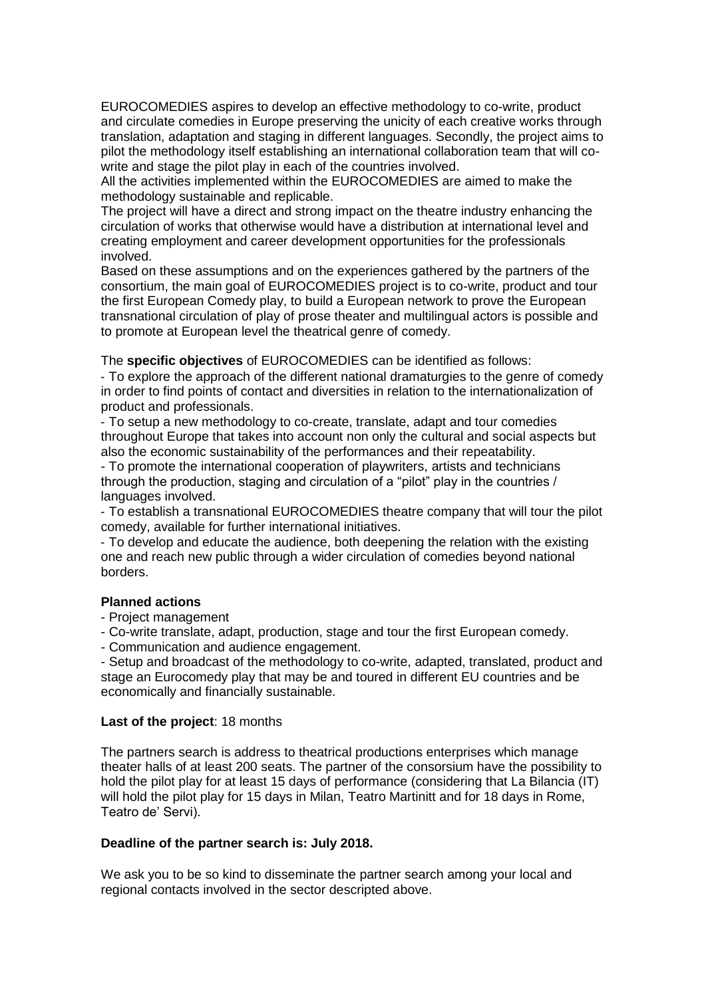EUROCOMEDIES aspires to develop an effective methodology to co-write, product and circulate comedies in Europe preserving the unicity of each creative works through translation, adaptation and staging in different languages. Secondly, the project aims to pilot the methodology itself establishing an international collaboration team that will cowrite and stage the pilot play in each of the countries involved.

All the activities implemented within the EUROCOMEDIES are aimed to make the methodology sustainable and replicable.

The project will have a direct and strong impact on the theatre industry enhancing the circulation of works that otherwise would have a distribution at international level and creating employment and career development opportunities for the professionals involved.

Based on these assumptions and on the experiences gathered by the partners of the consortium, the main goal of EUROCOMEDIES project is to co-write, product and tour the first European Comedy play, to build a European network to prove the European transnational circulation of play of prose theater and multilingual actors is possible and to promote at European level the theatrical genre of comedy.

The **specific objectives** of EUROCOMEDIES can be identified as follows:

‐ To explore the approach of the different national dramaturgies to the genre of comedy in order to find points of contact and diversities in relation to the internationalization of product and professionals.

‐ To setup a new methodology to co-create, translate, adapt and tour comedies throughout Europe that takes into account non only the cultural and social aspects but also the economic sustainability of the performances and their repeatability.

- To promote the international cooperation of playwriters, artists and technicians through the production, staging and circulation of a "pilot" play in the countries / languages involved.

‐ To establish a transnational EUROCOMEDIES theatre company that will tour the pilot comedy, available for further international initiatives.

‐ To develop and educate the audience, both deepening the relation with the existing one and reach new public through a wider circulation of comedies beyond national borders.

#### **Planned actions**

- Project management
- Co-write translate, adapt, production, stage and tour the first European comedy.
- Communication and audience engagement.

- Setup and broadcast of the methodology to co-write, adapted, translated, product and stage an Eurocomedy play that may be and toured in different EU countries and be economically and financially sustainable.

## **Last of the project**: 18 months

The partners search is address to theatrical productions enterprises which manage theater halls of at least 200 seats. The partner of the consorsium have the possibility to hold the pilot play for at least 15 days of performance (considering that La Bilancia (IT) will hold the pilot play for 15 days in Milan, Teatro Martinitt and for 18 days in Rome, Teatro de' Servi).

#### **Deadline of the partner search is: July 2018.**

We ask you to be so kind to disseminate the partner search among your local and regional contacts involved in the sector descripted above.